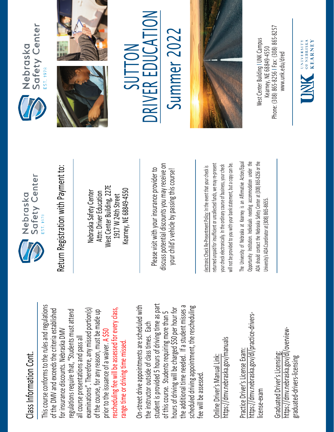## Class Information Cont. Class Information Cont.

This course conforms to the rules and regulations This course conforms to the rules and regulations rescheduling fee will be assessed for every class, examinations". Therefore, any missed portion(s) of the DMV and exceeds the criteria established regulations require that, "Students must attend rescheduling fee will be assessed for every class, of the DMV and exceeds the criteria established examinations". Therefore, any missed portion(s) of the course, for any reason, must be made up regulations require that, "Students must attend of the course, for any reason, must be made up for insurance discounts. Nebraska DMV for insurance discounts. Nebraska DMV prior to the issuance of a waiver. A \$50 all course presentations and pass all all course presentations and pass all range time or driving time missed. range time or driving time missed. prior to the issuance of a waiver.

student is provided 5 hours of driving time as part On-street drive appointments are scheduled with student is provided 5 hours of driving time as part the additional time needed. If a student misses a scheduled driving appointment, the rescheduling the additional time needed. If a student misses a On-street drive appointments are scheduled with hours of driving will be charged \$50 per hour for hours of driving will be charged \$50 per hour for scheduled driving appointment, the rescheduling of this course. Students requiring more than 5 of this course. Students requiring more than 5 the instructor outside of class times. Each the instructor outside of class times. Each fee will be assessed. fee will be assessed

https://dmv.nebraska.gov/manuals https://dmv.nebraska.gov/manuals Online Driver's Manual Link: Online Driver's Manual Link:

https://dmv.nebraska.gov/dl/practice-drivershttps://dmv.nebraska.gov/dl/practice-drivers-Practice Driver's License Exam: Practice Driver's License Exam: license-exam icense-exam

https://dmv.nebraska.gov/dl/overviewhttps://dmv.nebraska.gov/dl/overview-Graduated Driver's Licensing: Graduated Driver's Licensing: graduated-drivers-licensing graduated-drivers-licensing



Nebraska Safety Center Attn: Driver Education West Center Building, 227E 1917 W 24th Street Kearney, NE 68849-4550

Please visit with your insurance provider to discuss potential discounts you may receive on potential discounts you may receive on your child's vehicle by passing this course! Return Registration with Payment to:<br>
Nebraska Safety Center<br>
Attn: Driver Education<br>
1917 W 24th Street<br>
Rearney, NE 68849-4550<br>
Rease visit with your insurance provider to<br>
Please visit with your insurance provider to<br>
y

returned unpaid for insufficient or uncollected funds, we may re-present a copy can be. returned unpaid for insufficient or uncollected funds, we may re-present will not be provided to you with your bank statement, but a copy can be. your check electronically. In the ordinary course of business, your check your check electronically. In the ordinary course of business, your check will not be provided to you with your bank statement, but

The University of Nebraska at Kearney is an Affirmative Action/Equal The University of Nebraska at Kearney is an Affirmative Action/Equal Opportunity Institution. Individuals needing accommodation under the ADA should contact the Nebraska Safety Center at (308) 865-8256 or the Opportunity Institution. Individuals needing accommodation under the ADA should contact the Nebraska Safety Center at (308) 865-8256 or the Jniversity's ADA Coordinator at (308) 865-8655. University's ADA Coordinator at (308) 86







SUTTON **NC** RIV E R EDUCA  $\sum_{i=1}^{n}$ Summer 202 Summer 2022



Phone: (308) 865-8256 | Fax: (308) 865-8257 West Center Building I UNK Campus Nest Center Building I UNK Campus -8256 I Fax: (308) 865 Kearney, NE 68849-4550 www.unk.edu/dred [www.unk.edu/dred](http://www.unk.edu/dred) Kearney, NE 68849 Phone: (308) 865

UNIVERSITY<br>
OF NEBRASKA<br>
KFARNEY

**KEARNEY**